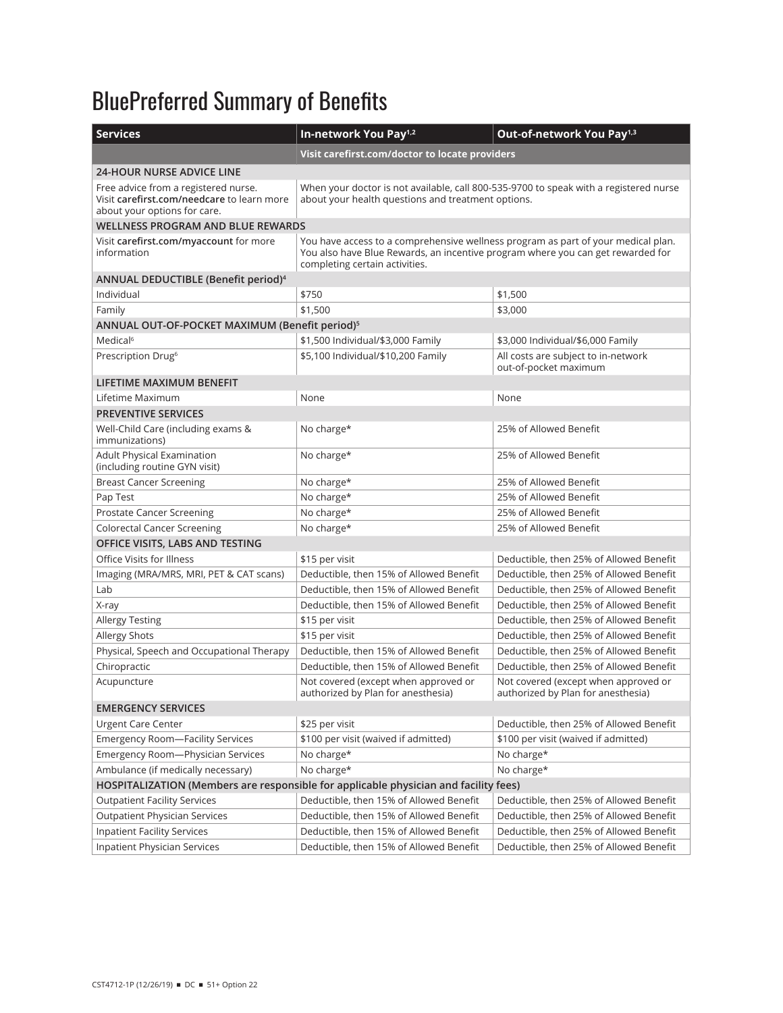## BluePreferred Summary of Benefits

| <b>Services</b>                                                                                                    | In-network You Pay <sup>1,2</sup>                                                                                                                                                                      | Out-of-network You Pay <sup>1,3</sup>                                      |  |
|--------------------------------------------------------------------------------------------------------------------|--------------------------------------------------------------------------------------------------------------------------------------------------------------------------------------------------------|----------------------------------------------------------------------------|--|
|                                                                                                                    | Visit carefirst.com/doctor to locate providers                                                                                                                                                         |                                                                            |  |
| <b>24-HOUR NURSE ADVICE LINE</b>                                                                                   |                                                                                                                                                                                                        |                                                                            |  |
| Free advice from a registered nurse.<br>Visit carefirst.com/needcare to learn more<br>about your options for care. | When your doctor is not available, call 800-535-9700 to speak with a registered nurse<br>about your health questions and treatment options.                                                            |                                                                            |  |
| <b>WELLNESS PROGRAM AND BLUE REWARDS</b>                                                                           |                                                                                                                                                                                                        |                                                                            |  |
| Visit carefirst.com/myaccount for more<br>information                                                              | You have access to a comprehensive wellness program as part of your medical plan.<br>You also have Blue Rewards, an incentive program where you can get rewarded for<br>completing certain activities. |                                                                            |  |
| ANNUAL DEDUCTIBLE (Benefit period) <sup>4</sup>                                                                    |                                                                                                                                                                                                        |                                                                            |  |
| Individual                                                                                                         | \$750                                                                                                                                                                                                  | \$1,500                                                                    |  |
| Family                                                                                                             | \$1,500                                                                                                                                                                                                | \$3,000                                                                    |  |
| ANNUAL OUT-OF-POCKET MAXIMUM (Benefit period) <sup>5</sup>                                                         |                                                                                                                                                                                                        |                                                                            |  |
| Medical <sup>6</sup>                                                                                               | \$1,500 Individual/\$3,000 Family                                                                                                                                                                      | \$3,000 Individual/\$6,000 Family                                          |  |
| Prescription Drug <sup>6</sup>                                                                                     | \$5,100 Individual/\$10,200 Family                                                                                                                                                                     | All costs are subject to in-network<br>out-of-pocket maximum               |  |
| LIFETIME MAXIMUM BENEFIT                                                                                           |                                                                                                                                                                                                        |                                                                            |  |
| Lifetime Maximum                                                                                                   | None                                                                                                                                                                                                   | None                                                                       |  |
| <b>PREVENTIVE SERVICES</b>                                                                                         |                                                                                                                                                                                                        |                                                                            |  |
| Well-Child Care (including exams &<br>immunizations)                                                               | No charge*                                                                                                                                                                                             | 25% of Allowed Benefit                                                     |  |
| Adult Physical Examination<br>(including routine GYN visit)                                                        | No charge*                                                                                                                                                                                             | 25% of Allowed Benefit                                                     |  |
| <b>Breast Cancer Screening</b>                                                                                     | No charge*                                                                                                                                                                                             | 25% of Allowed Benefit                                                     |  |
| Pap Test                                                                                                           | No charge*                                                                                                                                                                                             | 25% of Allowed Benefit                                                     |  |
| Prostate Cancer Screening                                                                                          | No charge*                                                                                                                                                                                             | 25% of Allowed Benefit                                                     |  |
| <b>Colorectal Cancer Screening</b>                                                                                 | No charge*                                                                                                                                                                                             | 25% of Allowed Benefit                                                     |  |
| OFFICE VISITS, LABS AND TESTING                                                                                    |                                                                                                                                                                                                        |                                                                            |  |
| Office Visits for Illness                                                                                          | \$15 per visit                                                                                                                                                                                         | Deductible, then 25% of Allowed Benefit                                    |  |
| Imaging (MRA/MRS, MRI, PET & CAT scans)                                                                            | Deductible, then 15% of Allowed Benefit                                                                                                                                                                | Deductible, then 25% of Allowed Benefit                                    |  |
| Lab                                                                                                                | Deductible, then 15% of Allowed Benefit                                                                                                                                                                | Deductible, then 25% of Allowed Benefit                                    |  |
| X-ray                                                                                                              | Deductible, then 15% of Allowed Benefit                                                                                                                                                                | Deductible, then 25% of Allowed Benefit                                    |  |
| <b>Allergy Testing</b>                                                                                             | \$15 per visit                                                                                                                                                                                         | Deductible, then 25% of Allowed Benefit                                    |  |
| Allergy Shots                                                                                                      | \$15 per visit                                                                                                                                                                                         | Deductible, then 25% of Allowed Benefit                                    |  |
| Physical, Speech and Occupational Therapy                                                                          | Deductible, then 15% of Allowed Benefit                                                                                                                                                                | Deductible, then 25% of Allowed Benefit                                    |  |
| Chiropractic                                                                                                       | Deductible, then 15% of Allowed Benefit                                                                                                                                                                | Deductible, then 25% of Allowed Benefit                                    |  |
| Acupuncture                                                                                                        | Not covered (except when approved or<br>authorized by Plan for anesthesia)                                                                                                                             | Not covered (except when approved or<br>authorized by Plan for anesthesia) |  |
| <b>EMERGENCY SERVICES</b>                                                                                          |                                                                                                                                                                                                        |                                                                            |  |
| <b>Urgent Care Center</b>                                                                                          | \$25 per visit                                                                                                                                                                                         | Deductible, then 25% of Allowed Benefit                                    |  |
| <b>Emergency Room-Facility Services</b>                                                                            | \$100 per visit (waived if admitted)                                                                                                                                                                   | \$100 per visit (waived if admitted)                                       |  |
| Emergency Room-Physician Services                                                                                  | No charge*                                                                                                                                                                                             | No charge*                                                                 |  |
| Ambulance (if medically necessary)                                                                                 | No charge*                                                                                                                                                                                             | No charge*                                                                 |  |
| HOSPITALIZATION (Members are responsible for applicable physician and facility fees)                               |                                                                                                                                                                                                        |                                                                            |  |
| <b>Outpatient Facility Services</b>                                                                                | Deductible, then 15% of Allowed Benefit                                                                                                                                                                | Deductible, then 25% of Allowed Benefit                                    |  |
| <b>Outpatient Physician Services</b>                                                                               | Deductible, then 15% of Allowed Benefit                                                                                                                                                                | Deductible, then 25% of Allowed Benefit                                    |  |
| <b>Inpatient Facility Services</b>                                                                                 | Deductible, then 15% of Allowed Benefit                                                                                                                                                                | Deductible, then 25% of Allowed Benefit                                    |  |
| Inpatient Physician Services                                                                                       | Deductible, then 15% of Allowed Benefit                                                                                                                                                                | Deductible, then 25% of Allowed Benefit                                    |  |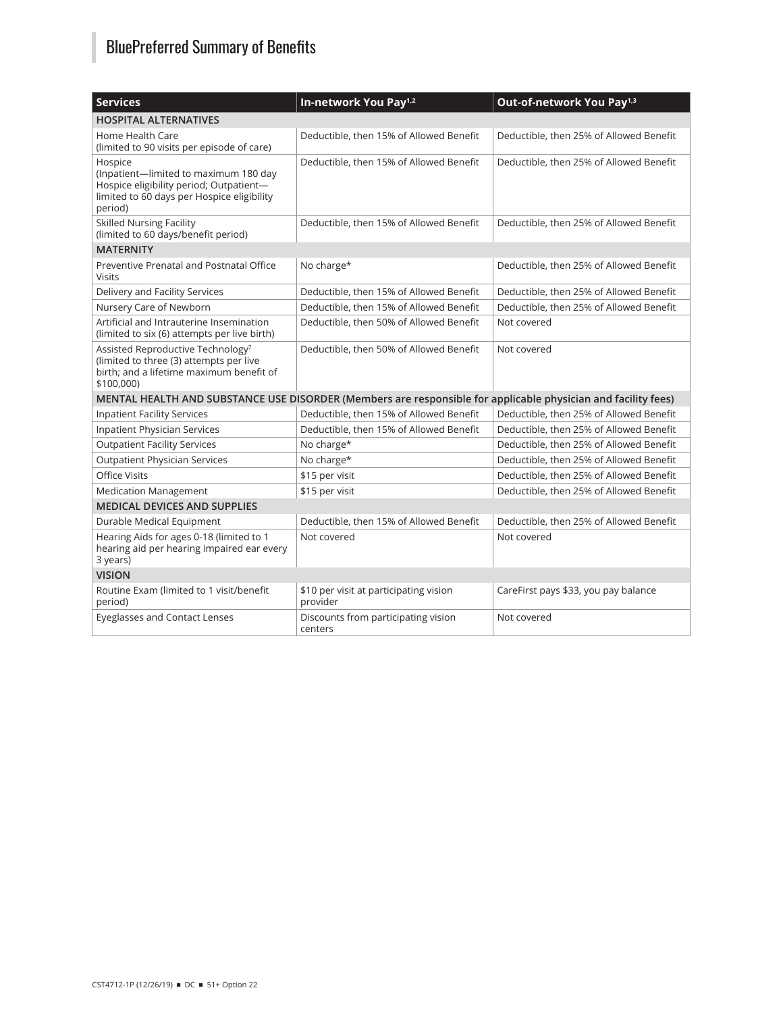## BluePreferred Summary of Benefits

| <b>Services</b>                                                                                                                                      | In-network You Pay <sup>1,2</sup>                  | Out-of-network You Pay <sup>1,3</sup>   |  |
|------------------------------------------------------------------------------------------------------------------------------------------------------|----------------------------------------------------|-----------------------------------------|--|
| <b>HOSPITAL ALTERNATIVES</b>                                                                                                                         |                                                    |                                         |  |
| Home Health Care<br>(limited to 90 visits per episode of care)                                                                                       | Deductible, then 15% of Allowed Benefit            | Deductible, then 25% of Allowed Benefit |  |
| Hospice<br>(Inpatient-limited to maximum 180 day<br>Hospice eligibility period; Outpatient-<br>limited to 60 days per Hospice eligibility<br>period) | Deductible, then 15% of Allowed Benefit            | Deductible, then 25% of Allowed Benefit |  |
| <b>Skilled Nursing Facility</b><br>(limited to 60 days/benefit period)                                                                               | Deductible, then 15% of Allowed Benefit            | Deductible, then 25% of Allowed Benefit |  |
| <b>MATERNITY</b>                                                                                                                                     |                                                    |                                         |  |
| Preventive Prenatal and Postnatal Office<br>Visits                                                                                                   | No charge*                                         | Deductible, then 25% of Allowed Benefit |  |
| Delivery and Facility Services                                                                                                                       | Deductible, then 15% of Allowed Benefit            | Deductible, then 25% of Allowed Benefit |  |
| Nursery Care of Newborn                                                                                                                              | Deductible, then 15% of Allowed Benefit            | Deductible, then 25% of Allowed Benefit |  |
| Artificial and Intrauterine Insemination<br>(limited to six (6) attempts per live birth)                                                             | Deductible, then 50% of Allowed Benefit            | Not covered                             |  |
| Assisted Reproductive Technology <sup>7</sup><br>(limited to three (3) attempts per live<br>birth; and a lifetime maximum benefit of<br>\$100,000)   | Deductible, then 50% of Allowed Benefit            | Not covered                             |  |
| MENTAL HEALTH AND SUBSTANCE USE DISORDER (Members are responsible for applicable physician and facility fees)                                        |                                                    |                                         |  |
| <b>Inpatient Facility Services</b>                                                                                                                   | Deductible, then 15% of Allowed Benefit            | Deductible, then 25% of Allowed Benefit |  |
| Inpatient Physician Services                                                                                                                         | Deductible, then 15% of Allowed Benefit            | Deductible, then 25% of Allowed Benefit |  |
| <b>Outpatient Facility Services</b>                                                                                                                  | No charge*                                         | Deductible, then 25% of Allowed Benefit |  |
| <b>Outpatient Physician Services</b>                                                                                                                 | No charge*                                         | Deductible, then 25% of Allowed Benefit |  |
| <b>Office Visits</b>                                                                                                                                 | \$15 per visit                                     | Deductible, then 25% of Allowed Benefit |  |
| <b>Medication Management</b>                                                                                                                         | \$15 per visit                                     | Deductible, then 25% of Allowed Benefit |  |
| <b>MEDICAL DEVICES AND SUPPLIES</b>                                                                                                                  |                                                    |                                         |  |
| Durable Medical Equipment                                                                                                                            | Deductible, then 15% of Allowed Benefit            | Deductible, then 25% of Allowed Benefit |  |
| Hearing Aids for ages 0-18 (limited to 1<br>hearing aid per hearing impaired ear every<br>3 years)                                                   | Not covered                                        | Not covered                             |  |
| <b>VISION</b>                                                                                                                                        |                                                    |                                         |  |
| Routine Exam (limited to 1 visit/benefit<br>period)                                                                                                  | \$10 per visit at participating vision<br>provider | CareFirst pays \$33, you pay balance    |  |
| <b>Eyeglasses and Contact Lenses</b>                                                                                                                 | Discounts from participating vision<br>centers     | Not covered                             |  |